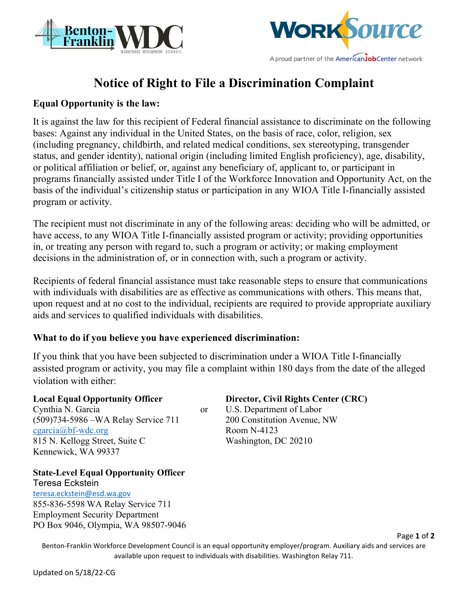



# **Notice of Right to File a Discrimination Complaint**

#### **Equal Opportunity is the law:**

It is against the law for this recipient of Federal financial assistance to discriminate on the following bases: Against any individual in the United States, on the basis of race, color, religion, sex (including pregnancy, childbirth, and related medical conditions, sex stereotyping, transgender status, and gender identity), national origin (including limited English proficiency), age, disability, or political affiliation or belief, or, against any beneficiary of, applicant to, or participant in programs financially assisted under Title I of the Workforce Innovation and Opportunity Act, on the basis of the individual's citizenship status or participation in any WIOA Title I-financially assisted program or activity.

The recipient must not discriminate in any of the following areas: deciding who will be admitted, or have access, to any WIOA Title I-financially assisted program or activity; providing opportunities in, or treating any person with regard to, such a program or activity; or making employment decisions in the administration of, or in connection with, such a program or activity.

Recipients of federal financial assistance must take reasonable steps to ensure that communications with individuals with disabilities are as effective as communications with others. This means that, upon request and at no cost to the individual, recipients are required to provide appropriate auxiliary aids and services to qualified individuals with disabilities.

### **What to do if you believe you have experienced discrimination:**

If you think that you have been subjected to discrimination under a WIOA Title I-financially assisted program or activity, you may file a complaint within 180 days from the date of the alleged violation with either:

Cynthia N. Garcia or U.S. Department of Labor (509)734-5986 –WA Relay Service 711 200 Constitution Avenue, NW  $cgarcia@bf-wdc.org$  Room N-4123 815 N. Kellogg Street, Suite C Washington, DC 20210 Kennewick, WA 99337

**Local Equal Opportunity Officer Director, Civil Rights Center (CRC)**

## **State-Level Equal Opportunity Officer**

Teresa Eckstein [teresa.eckstein@esd.wa.gov](mailto:teresa.eckstein@esd.wa.gov) 855-836-5598 WA Relay Service 711 Employment Security Department PO Box 9046, Olympia, WA 98507-9046

Benton-Franklin Workforce Development Council is an equal opportunity employer/program. Auxiliary aids and services are available upon request to individuals with disabilities. Washington Relay 711.